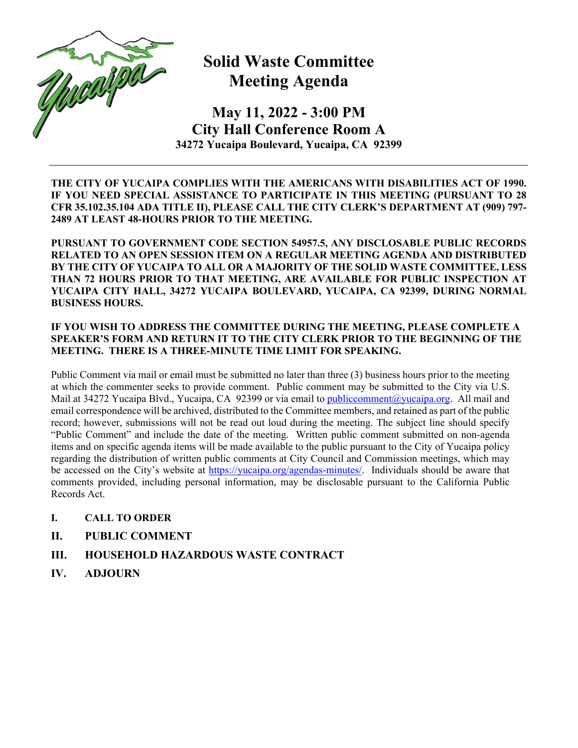

## **Solid Waste Committee Meeting Agenda**

**May 11, 2022 - 3:00 PM City Hall Conference Room A 34272 Yucaipa Boulevard, Yucaipa, CA 92399** 

**THE CITY OF YUCAIPA COMPLIES WITH THE AMERICANS WITH DISABILITIES ACT OF 1990. IF YOU NEED SPECIAL ASSISTANCE TO PARTICIPATE IN THIS MEETING (PURSUANT TO 28 CFR 35.102.35.104 ADA TITLE II), PLEASE CALL THE CITY CLERK'S DEPARTMENT AT (909) 797- 2489 AT LEAST 48-HOURS PRIOR TO THE MEETING.** 

**PURSUANT TO GOVERNMENT CODE SECTION 54957.5, ANY DISCLOSABLE PUBLIC RECORDS RELATED TO AN OPEN SESSION ITEM ON A REGULAR MEETING AGENDA AND DISTRIBUTED BY THE CITY OF YUCAIPA TO ALL OR A MAJORITY OF THE SOLID WASTE COMMITTEE, LESS THAN 72 HOURS PRIOR TO THAT MEETING, ARE AVAILABLE FOR PUBLIC INSPECTION AT YUCAIPA CITY HALL, 34272 YUCAIPA BOULEVARD, YUCAIPA, CA 92399, DURING NORMAL BUSINESS HOURS.** 

## **IF YOU WISH TO ADDRESS THE COMMITTEE DURING THE MEETING, PLEASE COMPLETE A SPEAKER'S FORM AND RETURN IT TO THE CITY CLERK PRIOR TO THE BEGINNING OF THE MEETING. THERE IS A THREE-MINUTE TIME LIMIT FOR SPEAKING.**

Public Comment via mail or email must be submitted no later than three (3) business hours prior to the meeting at which the commenter seeks to provide comment. Public comment may be submitted to the City via U.S. Mail at 34272 Yucaipa Blvd., Yucaipa, CA 92399 or via email to publiccomment@yucaipa.org. All mail and email correspondence will be archived, distributed to the Committee members, and retained as part of the public record; however, submissions will not be read out loud during the meeting. The subject line should specify "Public Comment" and include the date of the meeting. Written public comment submitted on non-agenda items and on specific agenda items will be made available to the public pursuant to the City of Yucaipa policy regarding the distribution of written public comments at City Council and Commission meetings, which may be accessed on the City's website at https://yucaipa.org/agendas-minutes/. Individuals should be aware that comments provided, including personal information, may be disclosable pursuant to the California Public Records Act.

- **I. CALL TO ORDER**
- **II. PUBLIC COMMENT**
- **III. HOUSEHOLD HAZARDOUS WASTE CONTRACT**
- **IV. ADJOURN**